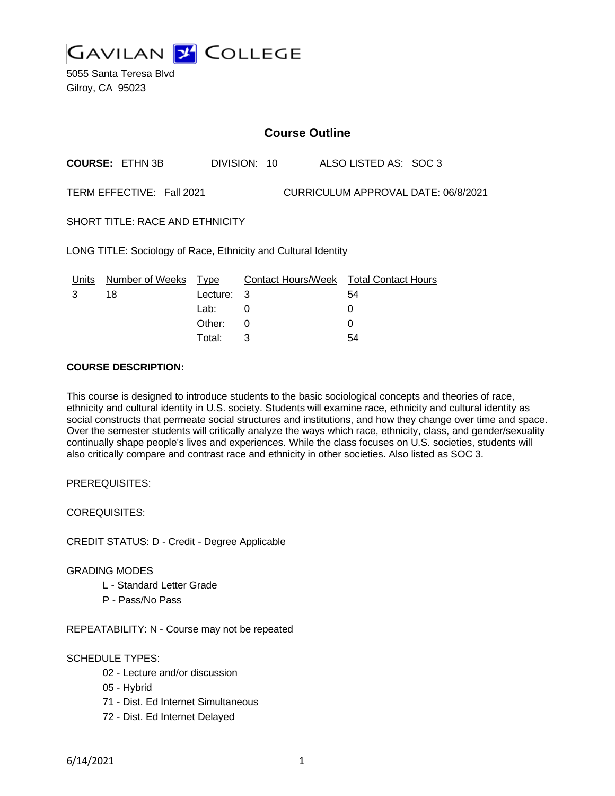

5055 Santa Teresa Blvd Gilroy, CA 95023

|                                                                  | <b>Course Outline</b>        |                         |              |  |                                              |  |  |
|------------------------------------------------------------------|------------------------------|-------------------------|--------------|--|----------------------------------------------|--|--|
|                                                                  | <b>COURSE: ETHN 3B</b>       |                         | DIVISION: 10 |  | ALSO LISTED AS: SOC 3                        |  |  |
| TERM EFFECTIVE: Fall 2021<br>CURRICULUM APPROVAL DATE: 06/8/2021 |                              |                         |              |  |                                              |  |  |
| <b>SHORT TITLE: RACE AND ETHNICITY</b>                           |                              |                         |              |  |                                              |  |  |
| LONG TITLE: Sociology of Race, Ethnicity and Cultural Identity   |                              |                         |              |  |                                              |  |  |
| Units<br>3                                                       | <b>Number of Weeks</b><br>18 | <b>Type</b><br>Lecture: | 3            |  | Contact Hours/Week Total Contact Hours<br>54 |  |  |
|                                                                  |                              | Lab:                    | 0            |  | 0                                            |  |  |
|                                                                  |                              | Other:                  | 0            |  | 0                                            |  |  |

Total: 3 54

#### **COURSE DESCRIPTION:**

This course is designed to introduce students to the basic sociological concepts and theories of race, ethnicity and cultural identity in U.S. society. Students will examine race, ethnicity and cultural identity as social constructs that permeate social structures and institutions, and how they change over time and space. Over the semester students will critically analyze the ways which race, ethnicity, class, and gender/sexuality continually shape people's lives and experiences. While the class focuses on U.S. societies, students will also critically compare and contrast race and ethnicity in other societies. Also listed as SOC 3.

PREREQUISITES:

COREQUISITES:

CREDIT STATUS: D - Credit - Degree Applicable

#### GRADING MODES

- L Standard Letter Grade
- P Pass/No Pass

REPEATABILITY: N - Course may not be repeated

#### SCHEDULE TYPES:

- 02 Lecture and/or discussion
- 05 Hybrid
- 71 Dist. Ed Internet Simultaneous
- 72 Dist. Ed Internet Delayed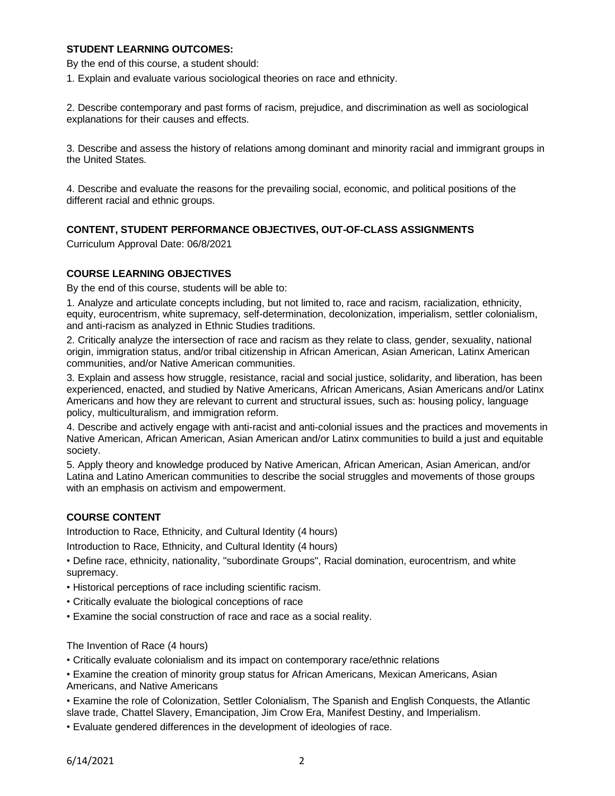## **STUDENT LEARNING OUTCOMES:**

By the end of this course, a student should:

1. Explain and evaluate various sociological theories on race and ethnicity.

2. Describe contemporary and past forms of racism, prejudice, and discrimination as well as sociological explanations for their causes and effects.

3. Describe and assess the history of relations among dominant and minority racial and immigrant groups in the United States.

4. Describe and evaluate the reasons for the prevailing social, economic, and political positions of the different racial and ethnic groups.

# **CONTENT, STUDENT PERFORMANCE OBJECTIVES, OUT-OF-CLASS ASSIGNMENTS**

Curriculum Approval Date: 06/8/2021

#### **COURSE LEARNING OBJECTIVES**

By the end of this course, students will be able to:

1. Analyze and articulate concepts including, but not limited to, race and racism, racialization, ethnicity, equity, eurocentrism, white supremacy, self-determination, decolonization, imperialism, settler colonialism, and anti-racism as analyzed in Ethnic Studies traditions.

2. Critically analyze the intersection of race and racism as they relate to class, gender, sexuality, national origin, immigration status, and/or tribal citizenship in African American, Asian American, Latinx American communities, and/or Native American communities.

3. Explain and assess how struggle, resistance, racial and social justice, solidarity, and liberation, has been experienced, enacted, and studied by Native Americans, African Americans, Asian Americans and/or Latinx Americans and how they are relevant to current and structural issues, such as: housing policy, language policy, multiculturalism, and immigration reform.

4. Describe and actively engage with anti-racist and anti-colonial issues and the practices and movements in Native American, African American, Asian American and/or Latinx communities to build a just and equitable society.

5. Apply theory and knowledge produced by Native American, African American, Asian American, and/or Latina and Latino American communities to describe the social struggles and movements of those groups with an emphasis on activism and empowerment.

## **COURSE CONTENT**

Introduction to Race, Ethnicity, and Cultural Identity (4 hours)

Introduction to Race, Ethnicity, and Cultural Identity (4 hours)

• Define race, ethnicity, nationality, "subordinate Groups", Racial domination, eurocentrism, and white supremacy.

- Historical perceptions of race including scientific racism.
- Critically evaluate the biological conceptions of race
- Examine the social construction of race and race as a social reality.

The Invention of Race (4 hours)

• Critically evaluate colonialism and its impact on contemporary race/ethnic relations

• Examine the creation of minority group status for African Americans, Mexican Americans, Asian Americans, and Native Americans

• Examine the role of Colonization, Settler Colonialism, The Spanish and English Conquests, the Atlantic slave trade, Chattel Slavery, Emancipation, Jim Crow Era, Manifest Destiny, and Imperialism.

• Evaluate gendered differences in the development of ideologies of race.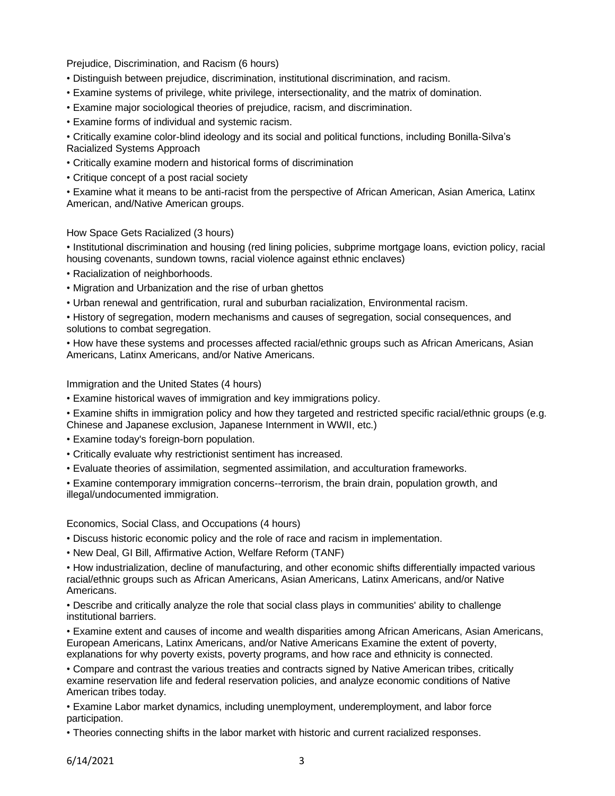Prejudice, Discrimination, and Racism (6 hours)

- Distinguish between prejudice, discrimination, institutional discrimination, and racism.
- Examine systems of privilege, white privilege, intersectionality, and the matrix of domination.
- Examine major sociological theories of prejudice, racism, and discrimination.
- Examine forms of individual and systemic racism.

• Critically examine color-blind ideology and its social and political functions, including Bonilla-Silva's Racialized Systems Approach

- Critically examine modern and historical forms of discrimination
- Critique concept of a post racial society

• Examine what it means to be anti-racist from the perspective of African American, Asian America, Latinx American, and/Native American groups.

#### How Space Gets Racialized (3 hours)

• Institutional discrimination and housing (red lining policies, subprime mortgage loans, eviction policy, racial housing covenants, sundown towns, racial violence against ethnic enclaves)

- Racialization of neighborhoods.
- Migration and Urbanization and the rise of urban ghettos

• Urban renewal and gentrification, rural and suburban racialization, Environmental racism.

• History of segregation, modern mechanisms and causes of segregation, social consequences, and solutions to combat segregation.

• How have these systems and processes affected racial/ethnic groups such as African Americans, Asian Americans, Latinx Americans, and/or Native Americans.

Immigration and the United States (4 hours)

• Examine historical waves of immigration and key immigrations policy.

• Examine shifts in immigration policy and how they targeted and restricted specific racial/ethnic groups (e.g. Chinese and Japanese exclusion, Japanese Internment in WWII, etc.)

• Examine today's foreign-born population.

- Critically evaluate why restrictionist sentiment has increased.
- Evaluate theories of assimilation, segmented assimilation, and acculturation frameworks.

• Examine contemporary immigration concerns--terrorism, the brain drain, population growth, and illegal/undocumented immigration.

Economics, Social Class, and Occupations (4 hours)

• Discuss historic economic policy and the role of race and racism in implementation.

• New Deal, GI Bill, Affirmative Action, Welfare Reform (TANF)

• How industrialization, decline of manufacturing, and other economic shifts differentially impacted various racial/ethnic groups such as African Americans, Asian Americans, Latinx Americans, and/or Native Americans.

• Describe and critically analyze the role that social class plays in communities' ability to challenge institutional barriers.

• Examine extent and causes of income and wealth disparities among African Americans, Asian Americans, European Americans, Latinx Americans, and/or Native Americans Examine the extent of poverty, explanations for why poverty exists, poverty programs, and how race and ethnicity is connected.

• Compare and contrast the various treaties and contracts signed by Native American tribes, critically examine reservation life and federal reservation policies, and analyze economic conditions of Native American tribes today.

• Examine Labor market dynamics, including unemployment, underemployment, and labor force participation.

• Theories connecting shifts in the labor market with historic and current racialized responses.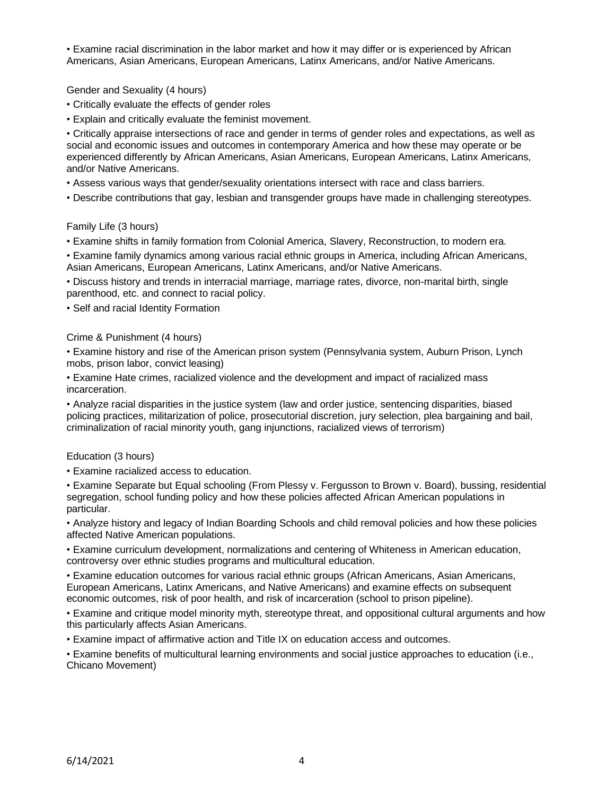• Examine racial discrimination in the labor market and how it may differ or is experienced by African Americans, Asian Americans, European Americans, Latinx Americans, and/or Native Americans.

Gender and Sexuality (4 hours)

- Critically evaluate the effects of gender roles
- Explain and critically evaluate the feminist movement.

• Critically appraise intersections of race and gender in terms of gender roles and expectations, as well as social and economic issues and outcomes in contemporary America and how these may operate or be experienced differently by African Americans, Asian Americans, European Americans, Latinx Americans, and/or Native Americans.

- Assess various ways that gender/sexuality orientations intersect with race and class barriers.
- Describe contributions that gay, lesbian and transgender groups have made in challenging stereotypes.

#### Family Life (3 hours)

• Examine shifts in family formation from Colonial America, Slavery, Reconstruction, to modern era.

• Examine family dynamics among various racial ethnic groups in America, including African Americans, Asian Americans, European Americans, Latinx Americans, and/or Native Americans.

• Discuss history and trends in interracial marriage, marriage rates, divorce, non-marital birth, single parenthood, etc. and connect to racial policy.

• Self and racial Identity Formation

#### Crime & Punishment (4 hours)

• Examine history and rise of the American prison system (Pennsylvania system, Auburn Prison, Lynch mobs, prison labor, convict leasing)

• Examine Hate crimes, racialized violence and the development and impact of racialized mass incarceration.

• Analyze racial disparities in the justice system (law and order justice, sentencing disparities, biased policing practices, militarization of police, prosecutorial discretion, jury selection, plea bargaining and bail, criminalization of racial minority youth, gang injunctions, racialized views of terrorism)

#### Education (3 hours)

• Examine racialized access to education.

• Examine Separate but Equal schooling (From Plessy v. Fergusson to Brown v. Board), bussing, residential segregation, school funding policy and how these policies affected African American populations in particular.

• Analyze history and legacy of Indian Boarding Schools and child removal policies and how these policies affected Native American populations.

• Examine curriculum development, normalizations and centering of Whiteness in American education, controversy over ethnic studies programs and multicultural education.

• Examine education outcomes for various racial ethnic groups (African Americans, Asian Americans, European Americans, Latinx Americans, and Native Americans) and examine effects on subsequent economic outcomes, risk of poor health, and risk of incarceration (school to prison pipeline).

• Examine and critique model minority myth, stereotype threat, and oppositional cultural arguments and how this particularly affects Asian Americans.

• Examine impact of affirmative action and Title IX on education access and outcomes.

• Examine benefits of multicultural learning environments and social justice approaches to education (i.e., Chicano Movement)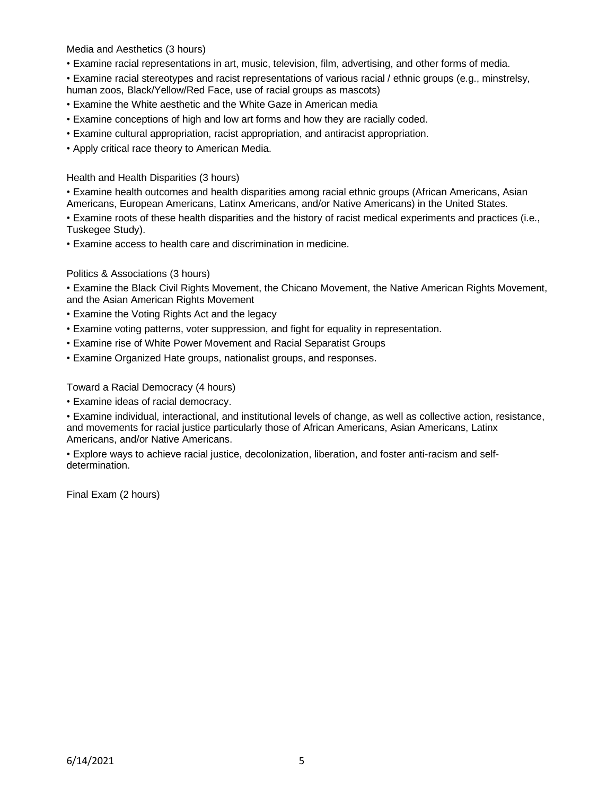Media and Aesthetics (3 hours)

- Examine racial representations in art, music, television, film, advertising, and other forms of media.
- Examine racial stereotypes and racist representations of various racial / ethnic groups (e.g., minstrelsy, human zoos, Black/Yellow/Red Face, use of racial groups as mascots)
- Examine the White aesthetic and the White Gaze in American media
- Examine conceptions of high and low art forms and how they are racially coded.
- Examine cultural appropriation, racist appropriation, and antiracist appropriation.
- Apply critical race theory to American Media.

Health and Health Disparities (3 hours)

• Examine health outcomes and health disparities among racial ethnic groups (African Americans, Asian Americans, European Americans, Latinx Americans, and/or Native Americans) in the United States.

• Examine roots of these health disparities and the history of racist medical experiments and practices (i.e., Tuskegee Study).

• Examine access to health care and discrimination in medicine.

#### Politics & Associations (3 hours)

• Examine the Black Civil Rights Movement, the Chicano Movement, the Native American Rights Movement, and the Asian American Rights Movement

- Examine the Voting Rights Act and the legacy
- Examine voting patterns, voter suppression, and fight for equality in representation.
- Examine rise of White Power Movement and Racial Separatist Groups
- Examine Organized Hate groups, nationalist groups, and responses.

Toward a Racial Democracy (4 hours)

• Examine ideas of racial democracy.

• Examine individual, interactional, and institutional levels of change, as well as collective action, resistance, and movements for racial justice particularly those of African Americans, Asian Americans, Latinx Americans, and/or Native Americans.

• Explore ways to achieve racial justice, decolonization, liberation, and foster anti-racism and selfdetermination.

Final Exam (2 hours)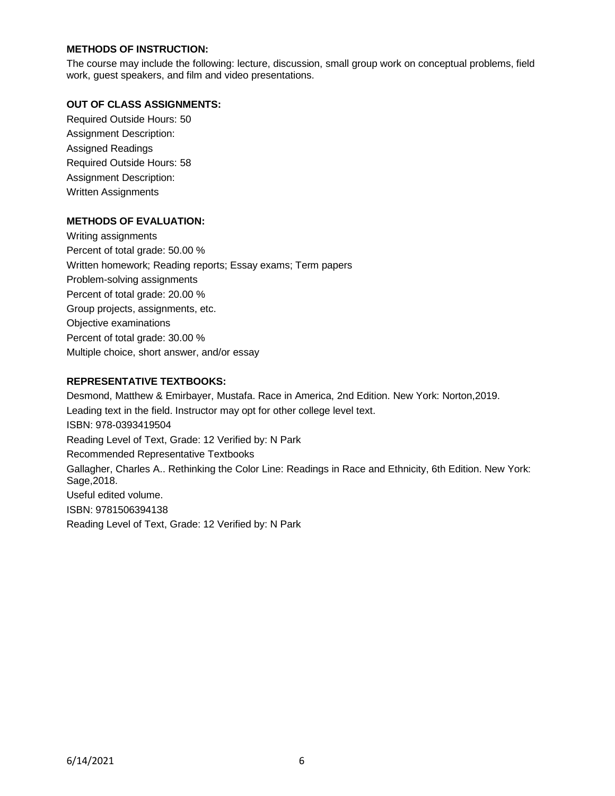# **METHODS OF INSTRUCTION:**

The course may include the following: lecture, discussion, small group work on conceptual problems, field work, guest speakers, and film and video presentations.

### **OUT OF CLASS ASSIGNMENTS:**

Required Outside Hours: 50 Assignment Description: Assigned Readings Required Outside Hours: 58 Assignment Description: Written Assignments

## **METHODS OF EVALUATION:**

Writing assignments Percent of total grade: 50.00 % Written homework; Reading reports; Essay exams; Term papers Problem-solving assignments Percent of total grade: 20.00 % Group projects, assignments, etc. Objective examinations Percent of total grade: 30.00 % Multiple choice, short answer, and/or essay

# **REPRESENTATIVE TEXTBOOKS:**

Desmond, Matthew & Emirbayer, Mustafa. Race in America, 2nd Edition. New York: Norton,2019. Leading text in the field. Instructor may opt for other college level text. ISBN: 978-0393419504 Reading Level of Text, Grade: 12 Verified by: N Park Recommended Representative Textbooks Gallagher, Charles A.. Rethinking the Color Line: Readings in Race and Ethnicity, 6th Edition. New York: Sage,2018. Useful edited volume. ISBN: 9781506394138 Reading Level of Text, Grade: 12 Verified by: N Park